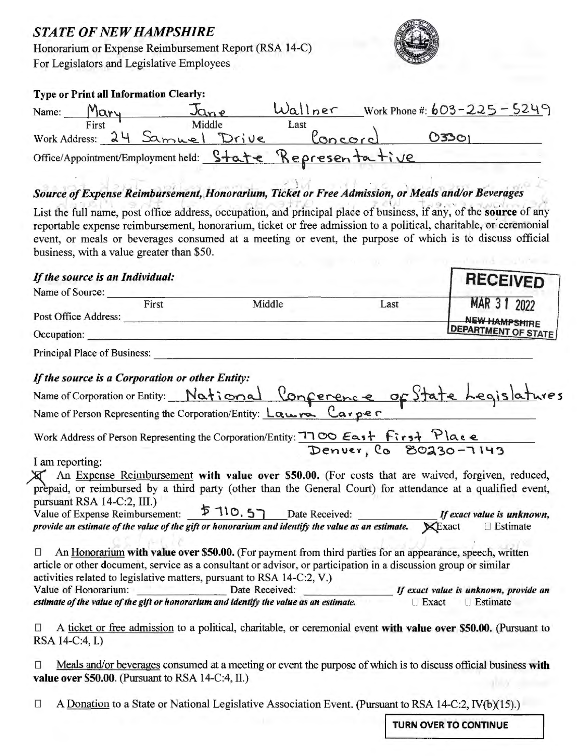## **STATE OF NEW HAMPSHIRE**

Honorarium or Expense Reimbursement Report (RSA 14-C) For Legislators and Legislative Employees



**RECFIVED** 

#### Type or Print all Information Clearly:

| Name: | Mary  | Jan <sub>e</sub>              | Wallner                                                  | Work Phone #: $603 - 225 - 5249$ |
|-------|-------|-------------------------------|----------------------------------------------------------|----------------------------------|
|       | First | Middle                        | Last                                                     |                                  |
|       |       | Work Address: 24 Samuel Drive | Concord                                                  | 03301                            |
|       |       |                               | Office/Appointment/Employment held: State Representative |                                  |

### Source of Expense Reimbursement, Honorarium, Ticket or Free Admission, or Meals and/or Beverages

List the full name, post office address, occupation, and principal place of business, if any, of the source of any reportable expense reimbursement, honorarium, ticket or free admission to a political, charitable, or ceremonial event, or meals or beverages consumed at a meeting or event, the purpose of which is to discuss official business, with a value greater than \$50.

#### If the source is an Individual:

| Name of Source:                                                                                                                              |                                                                                                                        |              |                            |
|----------------------------------------------------------------------------------------------------------------------------------------------|------------------------------------------------------------------------------------------------------------------------|--------------|----------------------------|
| First                                                                                                                                        | Middle                                                                                                                 | Last         | MAR 3 1 2022               |
|                                                                                                                                              |                                                                                                                        |              | <b>NEW HAMPSHIRE</b>       |
| Occupation:                                                                                                                                  |                                                                                                                        |              | <b>DEPARTMENT OF STATE</b> |
| Principal Place of Business:                                                                                                                 | <u> 1980 - Jan James James Jan James James James James James James James James James James James James James James</u> |              |                            |
| If the source is a Corporation or other Entity:                                                                                              |                                                                                                                        |              |                            |
|                                                                                                                                              |                                                                                                                        |              |                            |
| Name of Corporation or Entity: National Conference of State Legislatures<br>Name of Person Representing the Corporation/Entity: Lawre Carper |                                                                                                                        |              |                            |
| Work Address of Person Representing the Corporation/Entity: 7700 East first Place                                                            |                                                                                                                        |              |                            |
|                                                                                                                                              |                                                                                                                        |              |                            |
| I am reporting:                                                                                                                              |                                                                                                                        |              |                            |
| X An Expense Reimbursement with value over \$50.00. (For costs that are waived, forgiven, reduced,                                           |                                                                                                                        |              |                            |
| prepaid, or reimbursed by a third party (other than the General Court) for attendance at a qualified event,                                  |                                                                                                                        |              |                            |
| pursuant RSA 14-C:2, III.)                                                                                                                   |                                                                                                                        |              |                            |
| Value of Expense Reimbursement: 5 110.5 Date Received: If exact value is unknown,                                                            |                                                                                                                        |              |                            |
| provide an estimate of the value of the gift or honorarium and identify the value as an estimate. $\mathbb{X}$ Exact                         |                                                                                                                        |              | $\Box$ Estimate            |
| $\Box$                                                                                                                                       |                                                                                                                        |              |                            |
|                                                                                                                                              | An Honorarium with value over \$50.00. (For payment from third parties for an appearance, speech, written              |              |                            |
| article or other document, service as a consultant or advisor, or participation in a discussion group or similar                             |                                                                                                                        |              |                            |
| activities related to legislative matters, pursuant to RSA 14-C:2, V.)                                                                       |                                                                                                                        |              |                            |
|                                                                                                                                              |                                                                                                                        |              |                            |
| estimate of the value of the gift or honorarium and identify the value as an estimate.                                                       |                                                                                                                        | $\Box$ Exact | $\Box$ Estimate            |
|                                                                                                                                              |                                                                                                                        |              |                            |
| 0                                                                                                                                            | A ticket or free admission to a political, charitable, or ceremonial event with value over \$50.00. (Pursuant to       |              |                            |
| RSA 14-C:4, I.)                                                                                                                              |                                                                                                                        |              |                            |
| $\Box$                                                                                                                                       |                                                                                                                        |              |                            |
| value over \$50.00. (Pursuant to RSA 14-C:4, II.)                                                                                            | Meals and/or beverages consumed at a meeting or event the purpose of which is to discuss official business with        |              |                            |
|                                                                                                                                              |                                                                                                                        |              |                            |

 $\Box$ A Donation to a State or National Legislative Association Event. (Pursuant to RSA 14-C:2, IV(b)(15).)

**TURN OVER TO CONTINUE**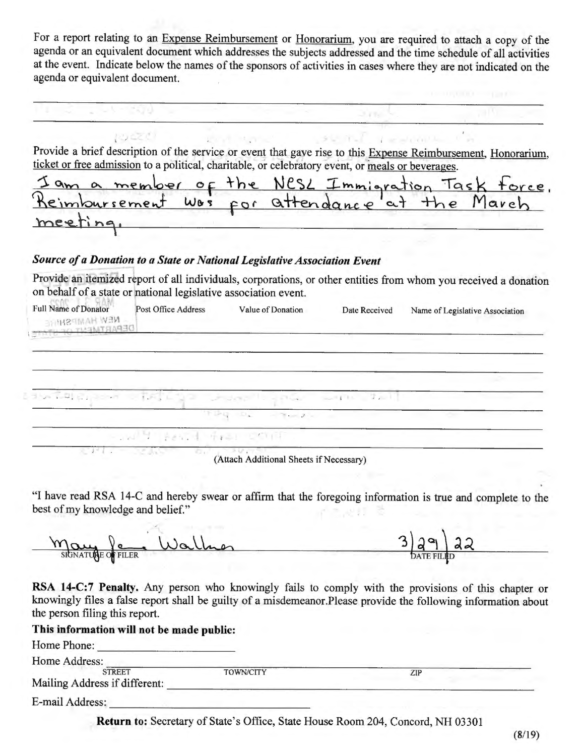For a report relating to an Expense Reimbursement or Honorarium, you are required to attach a copy of the agenda or an equivalent document which addresses the subjects addressed and the time schedule of all activities at the event. Indicate below the names of the sponsors of activities in cases where they are not indicated on the agenda or equivalent document.

Provide a brief description of the service or event that gave rise to this Expense Reimbursement, Honorarium, ticket or free admission to a political, charitable, or celebratory event, or meals or beverages.

3792

 $V = -100$ 

LIS UNITED

| Iam a member of the NESL Immigration Task force. |  |  |  |  |
|--------------------------------------------------|--|--|--|--|
| Reimbursement was for attendance at the March    |  |  |  |  |
| meeting,                                         |  |  |  |  |

#### *Source of a Donation to a State or National Legislative Association Event*

Provide an itemized report of all individuals, corporations, or other entities from whom you received a donation on behalf of a state or national legislative association event.

| Full Name of Donator<br><b>NEW HAMPSHITE</b> | Post Office Address      | Value of Donation                                                                                                                                                                                                                                                                                                                                                                                                                                            | Date Received | Name of Legislative Association |
|----------------------------------------------|--------------------------|--------------------------------------------------------------------------------------------------------------------------------------------------------------------------------------------------------------------------------------------------------------------------------------------------------------------------------------------------------------------------------------------------------------------------------------------------------------|---------------|---------------------------------|
|                                              |                          |                                                                                                                                                                                                                                                                                                                                                                                                                                                              |               |                                 |
|                                              |                          |                                                                                                                                                                                                                                                                                                                                                                                                                                                              |               |                                 |
|                                              |                          | alon all and control the state of the state and the first state of the first state of the first state of the s                                                                                                                                                                                                                                                                                                                                               |               |                                 |
|                                              |                          | $\mathcal{F} = \mathcal{F} \mathcal{F} \mathcal{F} \mathcal{F} \mathcal{F} \mathcal{F} \mathcal{F} \mathcal{F} \mathcal{F} \mathcal{F} \mathcal{F} \mathcal{F} \mathcal{F} \mathcal{F} \mathcal{F} \mathcal{F} \mathcal{F} \mathcal{F} \mathcal{F} \mathcal{F} \mathcal{F} \mathcal{F} \mathcal{F} \mathcal{F} \mathcal{F} \mathcal{F} \mathcal{F} \mathcal{F} \mathcal{F} \mathcal{F} \mathcal{F} \mathcal{F} \mathcal{F} \mathcal{F} \mathcal{F} \mathcal$ |               |                                 |
|                                              | - WHI AND THE COURT.     |                                                                                                                                                                                                                                                                                                                                                                                                                                                              |               |                                 |
|                                              | <b>TAGANY</b><br>Telefon | <b>NAVITS</b>                                                                                                                                                                                                                                                                                                                                                                                                                                                |               |                                 |

(Attach Additional Sheets if Necessary)

"I have read RSA 14-C and hereby swear or affirm that the foregoing information is true and complete to the best of my knowledge and belief."

 $\frac{3}{2}$ <br>DATEFILED May le Wallmer

**RSA 14-C:7 Penalty.** Any person who knowingly fails to comply with the provisions of this chapter or knowingly files a false report shall be guilty of a misdemeanor.Please provide the following information about the person filing this report.

#### **This information will not be made public:**

| This miormation will not be made public: |                  |     |  |
|------------------------------------------|------------------|-----|--|
| Home Phone:                              |                  |     |  |
| Home Address:                            |                  |     |  |
| <b>STREET</b>                            | <b>TOWN/CITY</b> | ZIP |  |
| Mailing Address if different:            |                  |     |  |
| E-mail Address:                          |                  |     |  |

Return to: Secretary of State's Office, State House Room 204, Concord, NH 03301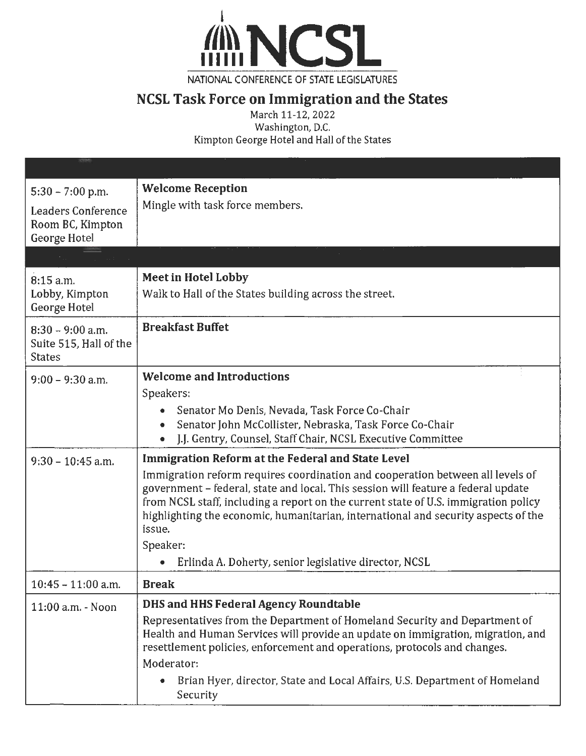

NATIONAL CONFERENCE OF STATE LEGISLATURES

# **NCSL Task Force on Immigration and the States**

March 11-12, 2022 Washington, D.C. Kimpton George Hotel and Hall of the States

| $5:30 - 7:00$ p.m.<br><b>Leaders Conference</b><br>Room BC, Kimpton<br>George Hotel | <b>Welcome Reception</b><br>Mingle with task force members.                                                                                                                                                                                                                                                                                                                                                                                                                          |
|-------------------------------------------------------------------------------------|--------------------------------------------------------------------------------------------------------------------------------------------------------------------------------------------------------------------------------------------------------------------------------------------------------------------------------------------------------------------------------------------------------------------------------------------------------------------------------------|
|                                                                                     |                                                                                                                                                                                                                                                                                                                                                                                                                                                                                      |
| 8:15 a.m.<br>Lobby, Kimpton<br>George Hotel                                         | <b>Meet in Hotel Lobby</b><br>Walk to Hall of the States building across the street.                                                                                                                                                                                                                                                                                                                                                                                                 |
| $8:30 - 9:00$ a.m.<br>Suite 515, Hall of the<br><b>States</b>                       | <b>Breakfast Buffet</b>                                                                                                                                                                                                                                                                                                                                                                                                                                                              |
| $9:00 - 9:30$ a.m.                                                                  | <b>Welcome and Introductions</b><br>Speakers:<br>Senator Mo Denis, Nevada, Task Force Co-Chair<br>Senator John McCollister, Nebraska, Task Force Co-Chair<br>$\bullet$<br>J.J. Gentry, Counsel, Staff Chair, NCSL Executive Committee                                                                                                                                                                                                                                                |
| $9:30 - 10:45$ a.m.                                                                 | Immigration Reform at the Federal and State Level<br>Immigration reform requires coordination and cooperation between all levels of<br>government - federal, state and local. This session will feature a federal update<br>from NCSL staff, including a report on the current state of U.S. immigration policy<br>highlighting the economic, humanitarian, international and security aspects of the<br>issue.<br>Speaker:<br>Erlinda A. Doherty, senior legislative director, NCSL |
| $10:45 - 11:00$ a.m.                                                                | <b>Break</b>                                                                                                                                                                                                                                                                                                                                                                                                                                                                         |
| 11:00 a.m. - Noon                                                                   | <b>DHS and HHS Federal Agency Roundtable</b><br>Representatives from the Department of Homeland Security and Department of<br>Health and Human Services will provide an update on immigration, migration, and<br>resettlement policies, enforcement and operations, protocols and changes.<br>Moderator:<br>Brian Hyer, director, State and Local Affairs, U.S. Department of Homeland<br>Security                                                                                   |